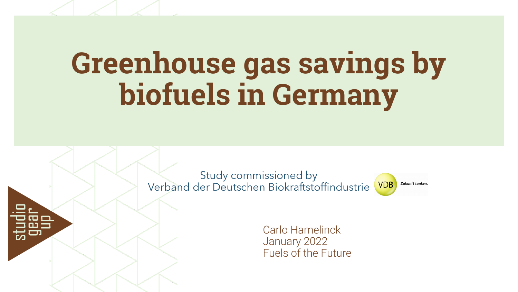# **Greenhouse gas savings by biofuels in Germany**

Study commissioned by Verband der Deutschen Biokraftstoffindustrie



Carlo Hamelinck January 2022 Fuels of the Future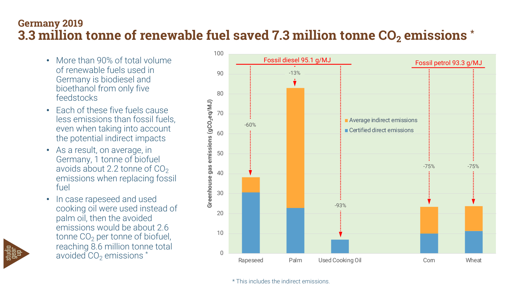### **Germany 2019 3.3 million tonne of renewable fuel saved 7.3 million tonne CO<sub>2</sub> emissions \***

- More than 90% of total volume of renewable fuels used in Germany is biodiesel and bioethanol from only five feedstocks
- Each of these five fuels cause less emissions than fossil fuels, even when taking into account the potential indirect impacts
- As a result, on average, in Germany, 1 tonne of biofuel avoids about 2.2 tonne of  $CO<sub>2</sub>$ emissions when replacing fossil fuel
- In case rapeseed and used cooking oil were used instead of palm oil, then the avoided emissions would be about 2.6 tonne  $CO<sub>2</sub>$  per tonne of biofuel, reaching 8.6 million tonne total avoided  $CO<sub>2</sub>$  emissions  $*$  0



\* This includes the indirect emissions.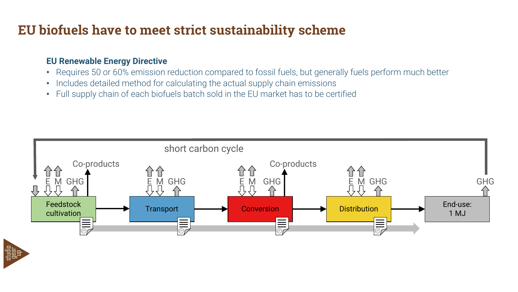# **EU biofuels have to meet strict sustainability scheme**

#### **EU Renewable Energy Directive**

- Requires 50 or 60% emission reduction compared to fossil fuels, but generally fuels perform much better
- Includes detailed method for calculating the actual supply chain emissions
- Full supply chain of each biofuels batch sold in the EU market has to be certified



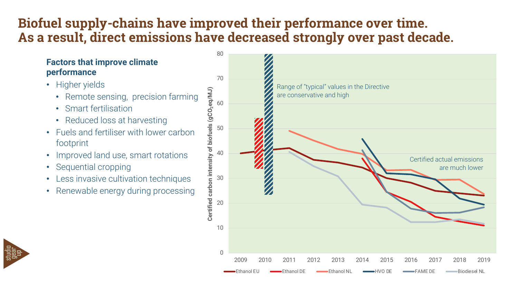# **Biofuel supply-chains have improved their performance over time. As a result, direct emissions have decreased strongly over past decade.**

#### **Factors that improve climate performance**

- Higher yields
	- Remote sensing, precision farming
	- Smart fertilisation
	- Reduced loss at harvesting
- Fuels and fertiliser with lower carbon footprint
- Improved land use, smart rotations
- Sequential cropping
- Less invasive cultivation techniques
- Renewable energy during processing



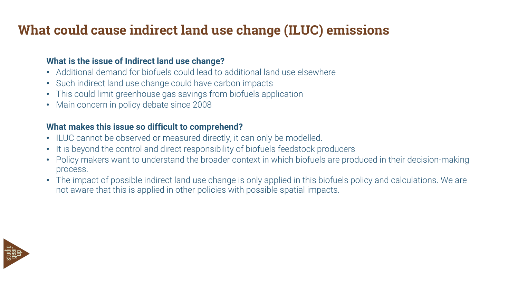# **What could cause indirect land use change (ILUC) emissions**

#### **What is the issue of Indirect land use change?**

- Additional demand for biofuels could lead to additional land use elsewhere
- Such indirect land use change could have carbon impacts
- This could limit greenhouse gas savings from biofuels application
- Main concern in policy debate since 2008

#### **What makes this issue so difficult to comprehend?**

- ILUC cannot be observed or measured directly, it can only be modelled.
- It is beyond the control and direct responsibility of biofuels feedstock producers
- Policy makers want to understand the broader context in which biofuels are produced in their decision-making process.
- The impact of possible indirect land use change is only applied in this biofuels policy and calculations. We are not aware that this is applied in other policies with possible spatial impacts.

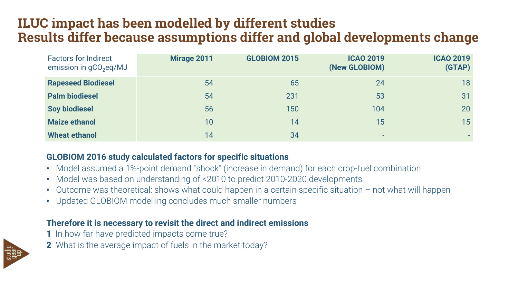# **ILUC impact has been modelled by different studies Results differ because assumptions differ and global developments change**

| <b>Factors for Indirect</b><br>emission in $gCO2eq/MJ$ | Mirage 2011 | <b>GLOBIOM 2015</b> | <b>ICAO 2019</b><br>(New GLOBIOM) | <b>ICAO 2019</b><br>(GTAP) |
|--------------------------------------------------------|-------------|---------------------|-----------------------------------|----------------------------|
| <b>Rapeseed Biodiesel</b>                              | 54          | 65                  | 24                                | 18                         |
| <b>Palm biodiesel</b>                                  | 54          | 231                 | 53                                | 31                         |
| <b>Soy biodiesel</b>                                   | 56          | 150                 | 104                               | 20                         |
| <b>Maize ethanol</b>                                   | 10          | 14                  | 15                                | 15                         |
| <b>Wheat ethanol</b>                                   | 14          | 34                  | -                                 | ж.                         |

#### **GLOBIOM 2016 study calculated factors for specific situations**

- Model assumed a 1%-point demand "shock" (increase in demand) for each crop-fuel combination
- Model was based on understanding of <2010 to predict 2010-2020 developments
- Outcome was theoretical: shows what could happen in a certain specific situation not what will happen
- Updated GLOBIOM modelling concludes much smaller numbers

#### **Therefore it is necessary to revisit the direct and indirect emissions**

- **1** In how far have predicted impacts come true?
- **2** What is the average impact of fuels in the market today?

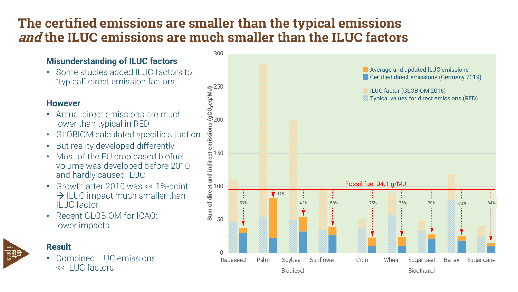# **The certified emissions are smaller than the typical emissions and the ILUC emissions are much smaller than the ILUC factors**

#### **Misunderstanding of ILUC factors**

• Some studies added ILUC factors to "typical" direct emission factors

#### **However**

- Actual direct emissions are much lower than typical in RED
- GLOBIOM calculated specific situation
- But reality developed differently
- Most of the EU crop based biofuel volume was developed before 2010 and hardly caused ILUC
- Growth after 2010 was << 1%-point  $\rightarrow$  ILUC impact much smaller than ILUC factor
- Recent GLOBIOM for ICAO: lower impacts

#### **Result**

• Combined ILUC emissions << ILUC factors

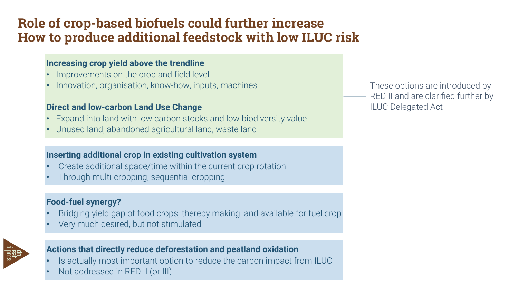# **Role of crop-based biofuels could further increase How to produce additional feedstock with low ILUC risk**

#### **Increasing crop yield above the trendline**

- Improvements on the crop and field level
- Innovation, organisation, know-how, inputs, machines

#### **Direct and low-carbon Land Use Change**

- Expand into land with low carbon stocks and low biodiversity value
- Unused land, abandoned agricultural land, waste land

#### **Inserting additional crop in existing cultivation system**

- Create additional space/time within the current crop rotation
- Through multi-cropping, sequential cropping

#### **Food-fuel synergy?**

- Bridging yield gap of food crops, thereby making land available for fuel crop
- Very much desired, but not stimulated



#### **Actions that directly reduce deforestation and peatland oxidation**

- Is actually most important option to reduce the carbon impact from ILUC
- Not addressed in RED II (or III)

These options are introduced by RED II and are clarified further by ILUC Delegated Act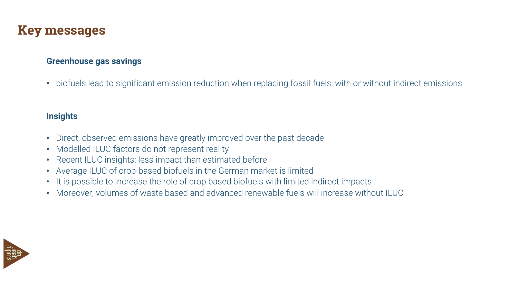### **Key messages**

#### **Greenhouse gas savings**

• biofuels lead to significant emission reduction when replacing fossil fuels, with or without indirect emissions

#### **Insights**

- Direct, observed emissions have greatly improved over the past decade
- Modelled ILUC factors do not represent reality
- Recent ILUC insights: less impact than estimated before
- Average ILUC of crop-based biofuels in the German market is limited
- It is possible to increase the role of crop based biofuels with limited indirect impacts
- Moreover, volumes of waste based and advanced renewable fuels will increase without ILUC